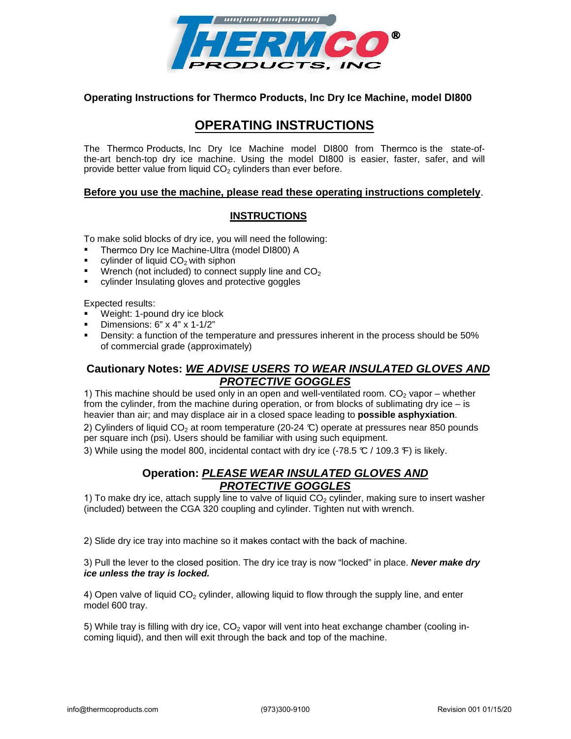

## **Operating Instructions for Thermco Products, Inc Dry Ice Machine, model DI800**

# **OPERATING INSTRUCTIONS**

The Thermco Products, Inc Dry Ice Machine model DI800 from Thermco is the state-ofthe-art bench-top dry ice machine. Using the model DI800 is easier, faster, safer, and will provide better value from liquid  $CO<sub>2</sub>$  cylinders than ever before.

### **Before you use the machine, please read these operating instructions completely**.

## **INSTRUCTIONS**

To make solid blocks of dry ice, you will need the following:

- $\blacksquare$ Thermco Dry Ice Machine-Ultra (model DI800) A
- $\blacksquare$ cylinder of liquid  $CO<sub>2</sub>$  with siphon
- $\blacksquare$ Wrench (not included) to connect supply line and  $CO<sub>2</sub>$
- $\blacksquare$ cylinder Insulating gloves and protective goggles

Expected results:

- Weight: 1-pound dry ice block
- Dimensions: 6" x 4" x 1-1/2"
- Density: a function of the temperature and pressures inherent in the process should be 50% of commercial grade (approximately)

# **Cautionary Notes: WE ADVISE USERS TO WEAR INSU***L***ATED GLOVES AND PROTECTIVE GOGGLES**

1) This machine should be used only in an open and well-ventilated room.  $CO<sub>2</sub>$  vapor – whether from the cylinder, from the machine during operation, or from blocks of sublimating dry ice  $-$  is heavier than air; and may displace air in a closed space leading to **possible asphyxiation**.

2) Cylinders of liquid CO<sub>2</sub> at room temperature (20-24 °C) operate at pressures near 850 pounds per square inch (psi). Users should be familiar with using such equipment.

3) While using the model 800, incidental contact with dry ice  $(-78.5 \text{ °C} / 109.3 \text{ °F})$  is likely.

# **Operation: PLEASE WEAR INSULATED GLOVES AND PROTECTIVE GOGGLES**

1) To make dry ice, attach supply line to valve of liquid  $CO<sub>2</sub>$  cylinder, making sure to insert washer (included) between the CGA 320 coupling and cylinder. Tighten nut with wrench.

2) Slide dry ice tray into machine so it makes contact with the back of machine.

3) Pull the lever to the closed position. The dry ice tray is now "locked" in place. **Never make dry ice unless the tray is locked.**

4) Open valve of liquid  $CO<sub>2</sub>$  cylinder, allowing liquid to flow through the supply line, and enter model 600 tray.

5) While tray is filling with dry ice,  $CO<sub>2</sub>$  vapor will vent into heat exchange chamber (cooling incoming liquid), and then will exit through the back and top of the machine.